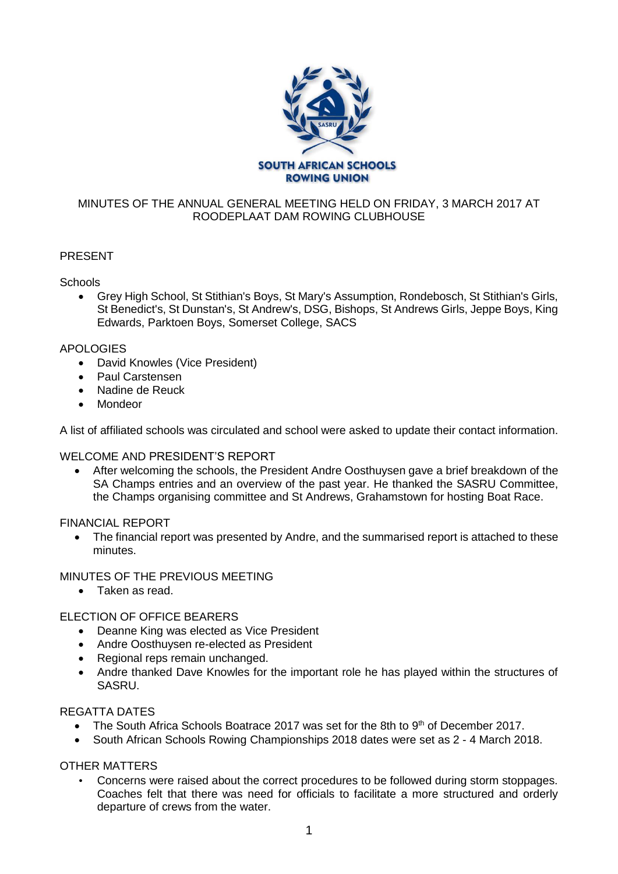

## MINUTES OF THE ANNUAL GENERAL MEETING HELD ON FRIDAY, 3 MARCH 2017 AT ROODEPLAAT DAM ROWING CLUBHOUSE

# PRESENT

## **Schools**

• Grey High School, St Stithian's Boys, St Mary's Assumption, Rondebosch, St Stithian's Girls, St Benedict's, St Dunstan's, St Andrew's, DSG, Bishops, St Andrews Girls, Jeppe Boys, King Edwards, Parktoen Boys, Somerset College, SACS

## APOLOGIES

- David Knowles (Vice President)
- Paul Carstensen
- Nadine de Reuck
- **Mondeor**

A list of affiliated schools was circulated and school were asked to update their contact information.

#### WELCOME AND PRESIDENT'S REPORT

• After welcoming the schools, the President Andre Oosthuysen gave a brief breakdown of the SA Champs entries and an overview of the past year. He thanked the SASRU Committee, the Champs organising committee and St Andrews, Grahamstown for hosting Boat Race.

#### FINANCIAL REPORT

• The financial report was presented by Andre, and the summarised report is attached to these minutes.

## MINUTES OF THE PREVIOUS MEETING

• Taken as read.

# ELECTION OF OFFICE BEARERS

- Deanne King was elected as Vice President
- Andre Oosthuysen re-elected as President
- Regional reps remain unchanged.
- Andre thanked Dave Knowles for the important role he has played within the structures of SASRU.

#### REGATTA DATES

- The South Africa Schools Boatrace 2017 was set for the 8th to  $9<sup>th</sup>$  of December 2017.
- South African Schools Rowing Championships 2018 dates were set as 2 4 March 2018.

#### OTHER MATTERS

• Concerns were raised about the correct procedures to be followed during storm stoppages. Coaches felt that there was need for officials to facilitate a more structured and orderly departure of crews from the water.